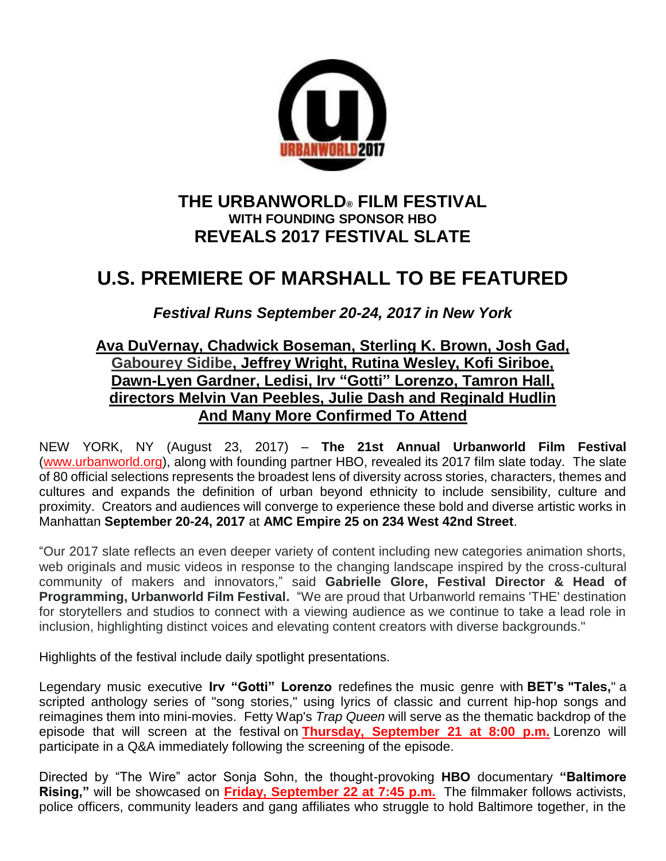

# **THE URBANWORLD® FILM FESTIVAL WITH FOUNDING SPONSOR HBO REVEALS 2017 FESTIVAL SLATE**

# **U.S. PREMIERE OF MARSHALL TO BE FEATURED**

*Festival Runs September 20-24, 2017 in New York*

# **Ava DuVernay, Chadwick Boseman, Sterling K. Brown, Josh Gad, Gabourey Sidibe, Jeffrey Wright, Rutina Wesley, Kofi Siriboe, Dawn-Lyen Gardner, Ledisi, Irv "Gotti" Lorenzo, Tamron Hall, directors Melvin Van Peebles, Julie Dash and Reginald Hudlin And Many More Confirmed To Attend**

NEW YORK, NY (August 23, 2017) – **The 21st Annual Urbanworld Film Festival** [\(www.urbanworld.org\)](http://www.urbanworld.org/), along with founding partner HBO, revealed its 2017 film slate today. The slate of 80 official selections represents the broadest lens of diversity across stories, characters, themes and cultures and expands the definition of urban beyond ethnicity to include sensibility, culture and proximity. Creators and audiences will converge to experience these bold and diverse artistic works in Manhattan **September 20-24, 2017** at **AMC Empire 25 on 234 West 42nd Street**.

"Our 2017 slate reflects an even deeper variety of content including new categories animation shorts, web originals and music videos in response to the changing landscape inspired by the cross-cultural community of makers and innovators," said **Gabrielle Glore, Festival Director & Head of Programming, Urbanworld Film Festival.** "We are proud that Urbanworld remains 'THE' destination for storytellers and studios to connect with a viewing audience as we continue to take a lead role in inclusion, highlighting distinct voices and elevating content creators with diverse backgrounds."

Highlights of the festival include daily spotlight presentations.

Legendary music executive **Irv "Gotti" Lorenzo** redefines the music genre with **BET's "Tales,**" a scripted anthology series of "song stories," using lyrics of classic and current hip-hop songs and reimagines them into mini-movies. Fetty Wap's *Trap Queen* will serve as the thematic backdrop of the episode that will screen at the festival on **Thursday, September 21 at 8:00 p.m.** Lorenzo will participate in a Q&A immediately following the screening of the episode.

Directed by "The Wire" actor Sonja Sohn, the thought-provoking **HBO** documentary **"Baltimore Rising,"** will be showcased on **Friday, September 22 at 7:45 p.m.** The filmmaker follows activists, police officers, community leaders and gang affiliates who struggle to hold Baltimore together, in the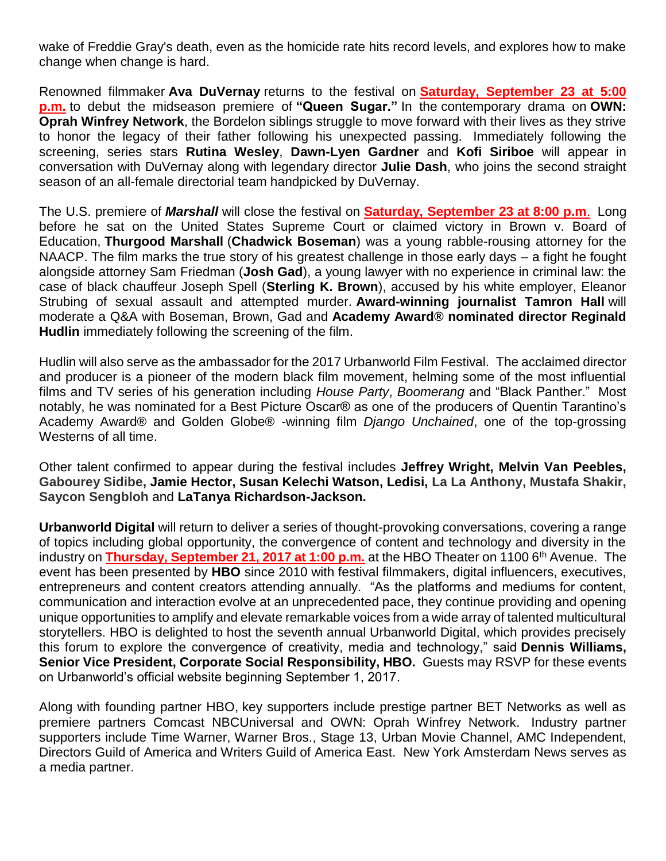wake of Freddie Gray's death, even as the homicide rate hits record levels, and explores how to make change when change is hard.

Renowned filmmaker **Ava DuVernay** returns to the festival on **Saturday, September 23 at 5:00 p.m.** to debut the midseason premiere of **"Queen Sugar."** In the contemporary drama on **OWN: Oprah Winfrey Network**, the Bordelon siblings struggle to move forward with their lives as they strive to honor the legacy of their father following his unexpected passing. Immediately following the screening, series stars **Rutina Wesley**, **Dawn-Lyen Gardner** and **Kofi Siriboe** will appear in conversation with DuVernay along with legendary director **Julie Dash**, who joins the second straight season of an all-female directorial team handpicked by DuVernay.

The U.S. premiere of *Marshall* will close the festival on **Saturday, September 23 at 8:00 p.m**. Long before he sat on the United States Supreme Court or claimed victory in Brown v. Board of Education, **Thurgood Marshall** (**Chadwick Boseman**) was a young rabble-rousing attorney for the NAACP. The film marks the true story of his greatest challenge in those early days – a fight he fought alongside attorney Sam Friedman (**Josh Gad**), a young lawyer with no experience in criminal law: the case of black chauffeur Joseph Spell (**Sterling K. Brown**), accused by his white employer, Eleanor Strubing of sexual assault and attempted murder. **Award-winning journalist Tamron Hall** will moderate a Q&A with Boseman, Brown, Gad and **Academy Award® nominated director Reginald Hudlin** immediately following the screening of the film.

Hudlin will also serve as the ambassador for the 2017 Urbanworld Film Festival. The acclaimed director and producer is a pioneer of the modern black film movement, helming some of the most influential films and TV series of his generation including *House Party*, *Boomerang* and "Black Panther." Most notably, he was nominated for a Best Picture Oscar® as one of the producers of Quentin Tarantino's Academy Award® and Golden Globe® -winning film *Django Unchained*, one of the top-grossing Westerns of all time.

Other talent confirmed to appear during the festival includes **Jeffrey Wright, Melvin Van Peebles, Gabourey Sidibe, Jamie Hector, Susan Kelechi Watson, Ledisi, La La Anthony, Mustafa Shakir, Saycon Sengbloh** and **LaTanya Richardson-Jackson.**

**Urbanworld Digital** will return to deliver a series of thought-provoking conversations, covering a range of topics including global opportunity, the convergence of content and technology and diversity in the industry on **Thursday, September 21, 2017 at 1:00 p.m.** at the HBO Theater on 1100 6<sup>th</sup> Avenue. The event has been presented by **HBO** since 2010 with festival filmmakers, digital influencers, executives, entrepreneurs and content creators attending annually. "As the platforms and mediums for content, communication and interaction evolve at an unprecedented pace, they continue providing and opening unique opportunities to amplify and elevate remarkable voices from a wide array of talented multicultural storytellers. HBO is delighted to host the seventh annual Urbanworld Digital, which provides precisely this forum to explore the convergence of creativity, media and technology," said **Dennis Williams, Senior Vice President, Corporate Social Responsibility, HBO.** Guests may RSVP for these events on Urbanworld's official website beginning September 1, 2017.

Along with founding partner HBO, key supporters include prestige partner BET Networks as well as premiere partners Comcast NBCUniversal and OWN: Oprah Winfrey Network. Industry partner supporters include Time Warner, Warner Bros., Stage 13, Urban Movie Channel, AMC Independent, Directors Guild of America and Writers Guild of America East. New York Amsterdam News serves as a media partner.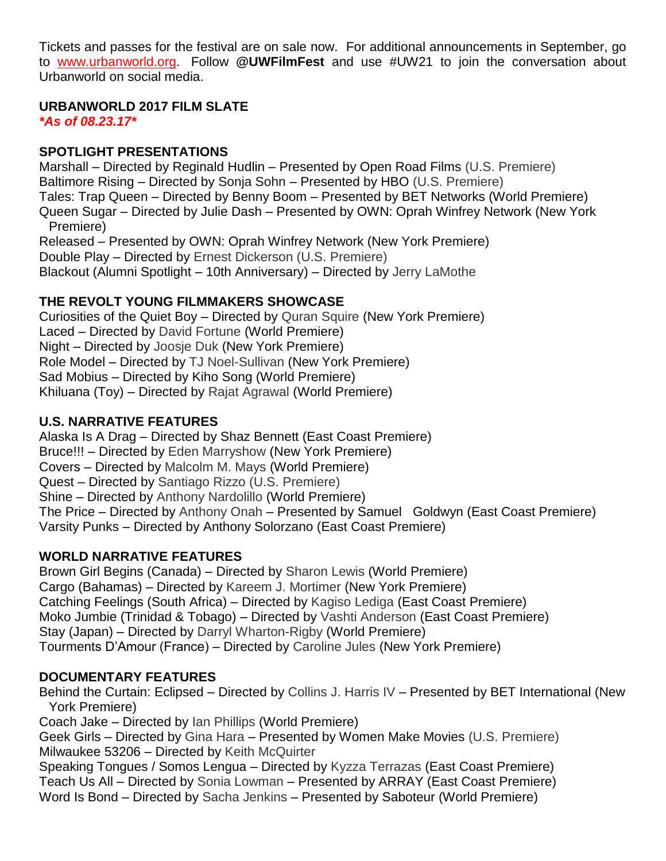Tickets and passes for the festival are on sale now. For additional announcements in September, go to [www.urbanworld.org.](http://www.urbanworld.org/) Follow **@UWFilmFest** and use #UW21 to join the conversation about Urbanworld on social media.

## **URBANWORLD 2017 FILM SLATE**

*\*As of 08.23.17\**

#### **SPOTLIGHT PRESENTATIONS**

Marshall – Directed by Reginald Hudlin – Presented by Open Road Films (U.S. Premiere) Baltimore Rising – Directed by Sonja Sohn – Presented by HBO (U.S. Premiere) Tales: Trap Queen – Directed by Benny Boom – Presented by BET Networks (World Premiere) Queen Sugar – Directed by Julie Dash – Presented by OWN: Oprah Winfrey Network (New York Premiere) Released – Presented by OWN: Oprah Winfrey Network (New York Premiere) Double Play – Directed by Ernest Dickerson (U.S. Premiere) Blackout (Alumni Spotlight – 10th Anniversary) – Directed by Jerry LaMothe

## **THE REVOLT YOUNG FILMMAKERS SHOWCASE**

Curiosities of the Quiet Boy – Directed by Quran Squire (New York Premiere) Laced – Directed by David Fortune (World Premiere) Night – Directed by Joosje Duk (New York Premiere) Role Model – Directed by TJ Noel-Sullivan (New York Premiere) Sad Mobius – Directed by Kiho Song (World Premiere) Khiluana (Toy) – Directed by Rajat Agrawal (World Premiere)

# **U.S. NARRATIVE FEATURES**

Alaska Is A Drag – Directed by Shaz Bennett (East Coast Premiere) Bruce!!! – Directed by Eden Marryshow (New York Premiere) Covers – Directed by Malcolm M. Mays (World Premiere) Quest – Directed by Santiago Rizzo (U.S. Premiere) Shine – Directed by Anthony Nardolillo (World Premiere) The Price – Directed by Anthony Onah – Presented by Samuel Goldwyn (East Coast Premiere) Varsity Punks – Directed by Anthony Solorzano (East Coast Premiere)

## **WORLD NARRATIVE FEATURES**

Brown Girl Begins (Canada) – Directed by Sharon Lewis (World Premiere) Cargo (Bahamas) – Directed by Kareem J. Mortimer (New York Premiere) Catching Feelings (South Africa) – Directed by Kagiso Lediga (East Coast Premiere) Moko Jumbie (Trinidad & Tobago) – Directed by Vashti Anderson (East Coast Premiere) Stay (Japan) – Directed by Darryl Wharton-Rigby (World Premiere) Tourments D'Amour (France) – Directed by Caroline Jules (New York Premiere)

## **DOCUMENTARY FEATURES**

Behind the Curtain: Eclipsed – Directed by Collins J. Harris IV – Presented by BET International (New York Premiere) Coach Jake – Directed by Ian Phillips (World Premiere) Geek Girls – Directed by Gina Hara – Presented by Women Make Movies (U.S. Premiere) Milwaukee 53206 – Directed by Keith McQuirter Speaking Tongues / Somos Lengua – Directed by Kyzza Terrazas (East Coast Premiere) Teach Us All – Directed by Sonia Lowman – Presented by ARRAY (East Coast Premiere) Word Is Bond – Directed by Sacha Jenkins – Presented by Saboteur (World Premiere)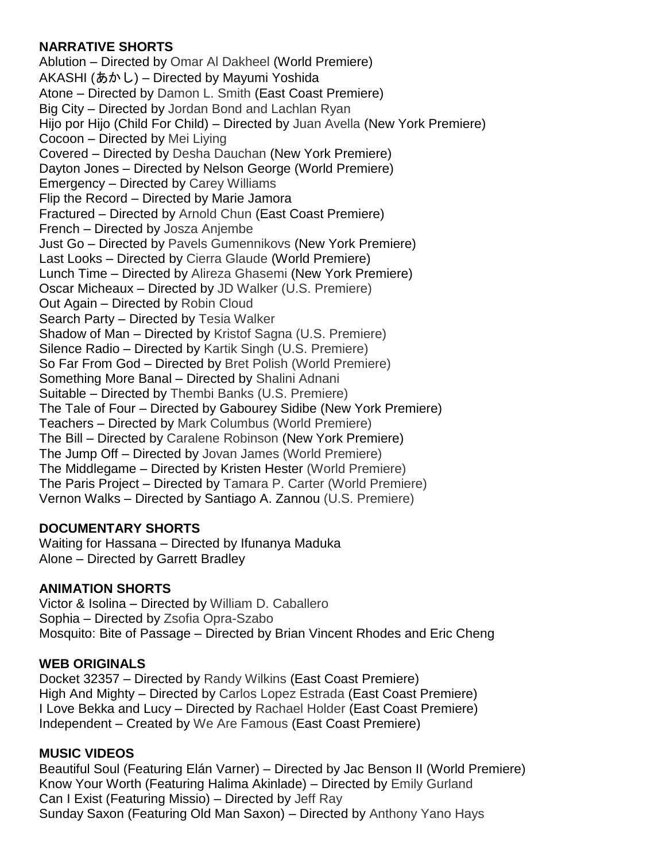## **NARRATIVE SHORTS**

Ablution – Directed by Omar Al Dakheel (World Premiere) AKASHI (あかし) – Directed by Mayumi Yoshida Atone – Directed by Damon L. Smith (East Coast Premiere) Big City – Directed by Jordan Bond and Lachlan Ryan Hijo por Hijo (Child For Child) – Directed by Juan Avella (New York Premiere) Cocoon – Directed by Mei Liying Covered – Directed by Desha Dauchan (New York Premiere) Dayton Jones – Directed by Nelson George (World Premiere) Emergency – Directed by Carey Williams Flip the Record – Directed by Marie Jamora Fractured – Directed by Arnold Chun (East Coast Premiere) French – Directed by Josza Anjembe Just Go – Directed by Pavels Gumennikovs (New York Premiere) Last Looks – Directed by Cierra Glaude (World Premiere) Lunch Time – Directed by Alireza Ghasemi (New York Premiere) Oscar Micheaux – Directed by JD Walker (U.S. Premiere) Out Again – Directed by Robin Cloud Search Party – Directed by Tesia Walker Shadow of Man – Directed by Kristof Sagna (U.S. Premiere) Silence Radio – Directed by Kartik Singh (U.S. Premiere) So Far From God – Directed by Bret Polish (World Premiere) Something More Banal – Directed by Shalini Adnani Suitable – Directed by Thembi Banks (U.S. Premiere) The Tale of Four – Directed by Gabourey Sidibe (New York Premiere) Teachers – Directed by Mark Columbus (World Premiere) The Bill – Directed by Caralene Robinson (New York Premiere) The Jump Off – Directed by Jovan James (World Premiere) The Middlegame – Directed by Kristen Hester (World Premiere) The Paris Project – Directed by Tamara P. Carter (World Premiere) Vernon Walks – Directed by Santiago A. Zannou (U.S. Premiere)

## **DOCUMENTARY SHORTS**

Waiting for Hassana – Directed by Ifunanya Maduka Alone – Directed by Garrett Bradley

## **ANIMATION SHORTS**

Victor & Isolina – Directed by William D. Caballero Sophia – Directed by Zsofia Opra-Szabo Mosquito: Bite of Passage – Directed by Brian Vincent Rhodes and Eric Cheng

#### **WEB ORIGINALS**

Docket 32357 – Directed by Randy Wilkins (East Coast Premiere) High And Mighty – Directed by Carlos Lopez Estrada (East Coast Premiere) I Love Bekka and Lucy – Directed by Rachael Holder (East Coast Premiere) Independent – Created by We Are Famous (East Coast Premiere)

#### **MUSIC VIDEOS**

Beautiful Soul (Featuring Elán Varner) – Directed by Jac Benson II (World Premiere) Know Your Worth (Featuring Halima Akinlade) – Directed by Emily Gurland Can I Exist (Featuring Missio) – Directed by Jeff Ray Sunday Saxon (Featuring Old Man Saxon) – Directed by Anthony Yano Hays